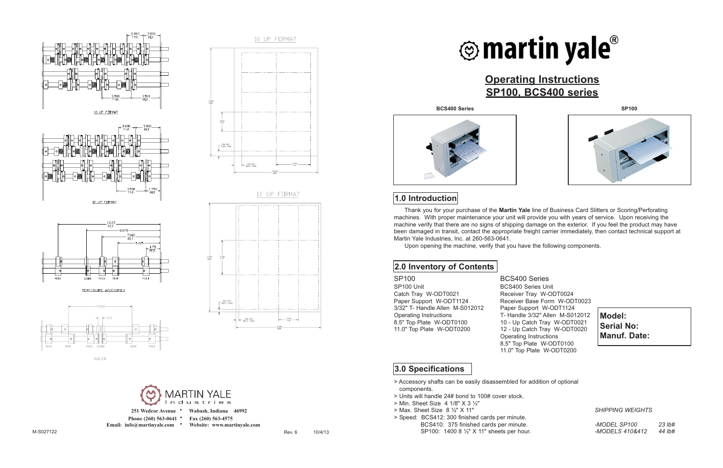





PERF/SCORE ACCESORIES



412 FB





- 251 Wedcor Avenue **•** Wabash, Indiana 46992
- 
- **Phone (260) 563-0641 • Fax (260) 563-4575**
- Email: info@martinyale.com Website: www.martinyale.com

# **Operating Instructions**

## **SP100, BCS400 series**



**BCS400 Series SP100**



### **1.0 Introduction**

#### **2.0 Inventory of Contents**

SP100 BCS400 Series SP100 Unit BCS400 Series Unit Catch Tray W-ODT0021 Receiver Tray W-ODT0024 3/32" T- Handle Allen M-S012012 Paper Support W-ODT1124

Paper Support W-ODT1124 Receiver Base Form W-ODT0023 Operating Instructions<br>
8.5" Top Plate W-ODT0100 10 - Up Catch Tray W-ODT0021 10 - Up Catch Tray W-ODT0021 11.0" Top Plate W-ODT0200 12 - Up Catch Tray W-ODT0020 Operating Instructions 8.5" Top Plate W-ODT0100 11.0" Top Plate W-ODT0200

- > Accessory shafts can be easily disassembled for addition of optional components.
- > Units will handle 24# bond to 100# cover stock.
- > Min. Sheet Size 4 1/8" X 3 ½"
- > Max. Sheet Size 8 ½" X 11"
- > Speed: BCS412: 300 finished cards per minute. BCS410: 375 finished cards per minute. SP100: 1400 8 ½" X 11" sheets per hour.

**Model: Serial No: Manuf. Date:**

#### **3.0 Specifications**

*SHIPPING WEIGHTS*

*-MODEL SP100 23 lb# -MODELS 410&412 44 lb#*



Thank you for your purchase of the **Martin Yale** line of Business Card Slitters or Scoring/Perforating machines. With proper maintenance your unit will provide you with years of service. Upon receiving the machine verify that there are no signs of shipping damage on the exterior. If you feel the product may have been damaged in transit, contact the appropriate freight carrier immediately, then contact technical support at Martin Yale Industries, Inc. at 260-563-0641.

Upon opening the machine, verify that you have the following components.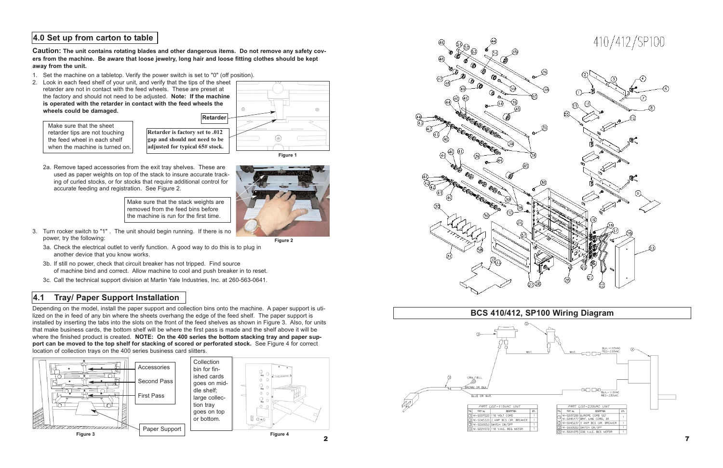**Caution: The unit contains rotating blades and other dangerous items. Do not remove any safety covers from the machine. Be aware that loose jewelry, long hair and loose fitting clothes should be kept away from the unit.**

- 1. Set the machine on a tabletop. Verify the power switch is set to "0" (off position).
- 2. Look in each feed shelf of your unit, and verify that the tips of the sheet retarder are not in contact with the feed wheels. These are preset at the factory and should not need to be adjusted. **Note: If the machine is operated with the retarder in contact with the feed wheels the wheels could be damaged.**

- 3. Turn rocker switch to "1" . The unit should begin running. If there is no power, try the following:
	- 3a. Check the electrical outlet to verify function. A good way to do this is to plug in another device that you know works.
	- 3b. If still no power, check that circuit breaker has not tripped. Find source of machine bind and correct. Allow machine to cool and push breaker in to reset.
	- 3c. Call the technical support division at Martin Yale Industries, Inc. at 260-563-0641.

Make sure that the stack weights are removed from the feed bins before the machine is run for the first time.

- **gap and should not need to be adjusted for typical 65# stock.**
- 2a. Remove taped accessories from the exit tray shelves. These are used as paper weights on top of the stack to insure accurate tracking of curled stocks, or for stocks that require additional control for accurate feeding and registration. See Figure 2.

Depending on the model, install the paper support and collection bins onto the machine. A paper support is utilized on the in feed of any bin where the sheets overhang the edge of the feed shelf. The paper support is installed by inserting the tabs into the slots on the front of the feed shelves as shown in Figure 3. Also, for units that make business cards, the bottom shelf will be where the first pass is made and the shelf above it will be where the finished product is created. **NOTE: On the 400 series the bottom stacking tray and paper support can be moved to the top shelf for stacking of scored or perforated stock.** See Figure 4 for correct location of collection trays on the 400 series business card slitters.

#### **4.0 Set up from carton to table**

## **4.1 Tray/ Paper Support Installation**

Make sure that the sheet retarder tips are not touching the feed wheel in each shelf when the machine is turned on.







**Figure 2**



410/412/SP100

7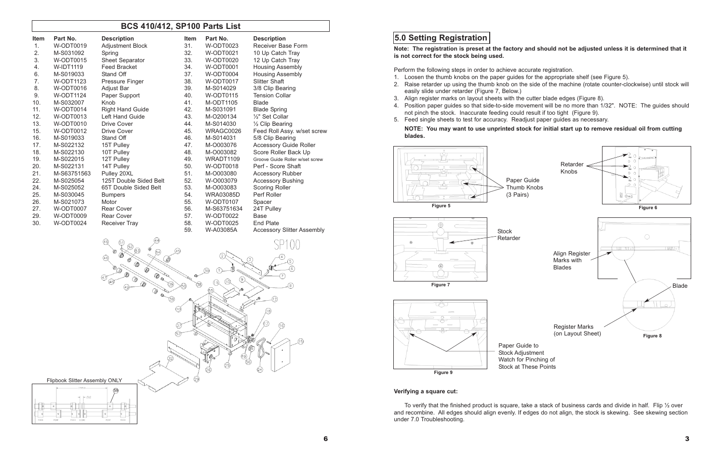#### **Note: The registration is preset at the factory and should not be adjusted unless it is determined that it**

**is not correct for the stock being used.**

Perform the following steps in order to achieve accurate registration.

2. Raise retarder up using the thumb knob on the side of the machine (rotate counter-clockwise) until stock will

- 1. Loosen the thumb knobs on the paper guides for the appropriate shelf (see Figure 5).
- easily slide under retarder (Figure 7, Below.)
- 3. Align register marks on layout sheets with the cutter blade edges (Figure 8).
- not pinch the stock. Inaccurate feeding could result if too tight (Figure 9).
- 5. Feed single sheets to test for accuracy. Readjust paper guides as necessary.

4. Position paper guides so that side-to-side movement will be no more than 1/32". NOTE: The guides should

#### **NOTE: You may want to use unprinted stock for initial start up to remove residual oil from cutting**

**blades.**

#### **Verifying a square cut:**

To verify that the finished product is square, take a stack of business cards and divide in half. Flip ½ over and recombine. All edges should align evenly. If edges do not align, the stock is skewing. See skewing section under 7.0 Troubleshooting.

## **5.0 Setting Registration**







#### **BCS 410/412, SP100 Parts List**

| <b>Item</b> | Part No.         | <b>Description</b>      | <b>Item</b> | Part No.         | <b>Description</b>                |
|-------------|------------------|-------------------------|-------------|------------------|-----------------------------------|
| 1.          | W-ODT0019        | Adjustment Block        | 31.         | W-ODT0023        | Receiver Base Form                |
| 2.          | M-S031092        | Spring                  | 32.         | <b>W-ODT0021</b> | 10 Up Catch Tray                  |
| 3.          | W-ODT0015        | <b>Sheet Separator</b>  | 33.         | W-ODT0020        | 12 Up Catch Tray                  |
| 4.          | <b>W-IDT1119</b> | <b>Feed Bracket</b>     | 34.         | W-ODT0001        | <b>Housing Assembly</b>           |
| 6.          | M-S019033        | Stand Off               | 37.         | W-ODT0004        | <b>Housing Assembly</b>           |
| 7.          | <b>W-ODT1123</b> | Pressure Finger         | 38.         | W-ODT0017        | <b>Slitter Shaft</b>              |
| 8.          | W-ODT0016        | Adjust Bar              | 39.         | M-S014029        | 3/8 Clip Bearing                  |
| 9.          | W-ODT1124        | Paper Support           | 40.         | W-ODT0115        | <b>Tension Collar</b>             |
| 10.         | M-S032007        | Knob                    | 41.         | M-ODT1105        | <b>Blade</b>                      |
| 11.         | <b>W-ODT0014</b> | <b>Right Hand Guide</b> | 42.         | M-S031091        | <b>Blade Spring</b>               |
| 12.         | W-ODT0013        | <b>Left Hand Guide</b>  | 43.         | M-O200134        | 1/ <sub>2</sub> " Set Collar      |
| 13.         | W-ODT0010        | <b>Drive Cover</b>      | 44.         | M-S014030        | $\frac{1}{2}$ Clip Bearing        |
| 15.         | W-ODT0012        | <b>Drive Cover</b>      | 45.         | WRAGC0026        | Feed Roll Assy. w/set screw       |
| 16.         | M-S019033        | Stand Off               | 46.         | M-S014031        | 5/8 Clip Bearing                  |
| 17.         | M-S022132        | 15T Pulley              | 47.         | M-O003076        | <b>Accessory Guide Roller</b>     |
| 18.         | M-S022130        | 10T Pulley              | 48.         | M-0003082        | Score Roller Back Up              |
| 19.         | M-S022015        | 12T Pulley              | 49.         | WRADT1109        | Groove Guide Roller w/set screw   |
| 20.         | M-S022131        | 14T Pulley              | 50.         | W-ODT0018        | Perf - Score Shaft                |
| 21.         | M-S63751563      | Pulley 20XL             | 51.         | M-O003080        | <b>Accessory Rubber</b>           |
| 22.         | M-S025054        | 125T Double Sided Belt  | 52.         | W-O003079        | <b>Accessory Bushing</b>          |
| 24.         | M-S025052        | 65T Double Sided Belt   | 53.         | M-0003083        | Scoring Roller                    |
| 25.         | M-S030045        | <b>Bumpers</b>          | 54.         | <b>WRA03085D</b> | Perf Roller                       |
| 26.         | M-S021073        | Motor                   | 55.         | <b>W-ODT0107</b> | Spacer                            |
| 27.         | W-ODT0007        | <b>Rear Cover</b>       | 56.         | M-S63751634      | 24T Pulley                        |
| 29.         | W-ODT0009        | <b>Rear Cover</b>       | 57.         | W-ODT0022        | <b>Base</b>                       |
| 30.         | <b>W-ODT0024</b> | <b>Receiver Tray</b>    | 58.         | <b>W-ODT0025</b> | <b>End Plate</b>                  |
|             |                  |                         | 59.         | W-A03085A        | <b>Accessory Slitter Assembly</b> |